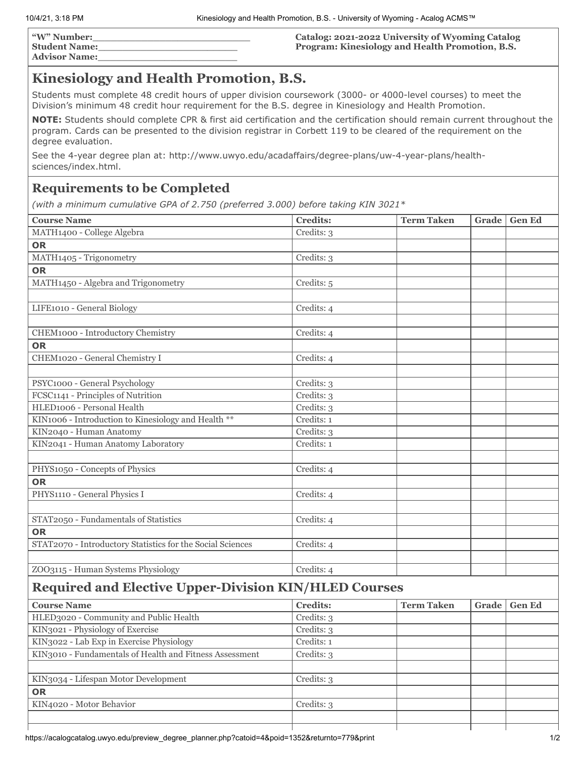| "W" Number:          |  |
|----------------------|--|
| <b>Student Name:</b> |  |
| <b>Advisor Name:</b> |  |

**Catalog: 2021-2022 University of Wyoming Catalog Program: Kinesiology and Health Promotion, B.S.**

# **Kinesiology and Health Promotion, B.S.**

Students must complete 48 credit hours of upper division coursework (3000- or 4000-level courses) to meet the Division's minimum 48 credit hour requirement for the B.S. degree in Kinesiology and Health Promotion.

**NOTE:** Students should complete CPR & first aid certification and the certification should remain current throughout the program. Cards can be presented to the division registrar in Corbett 119 to be cleared of the requirement on the degree evaluation.

See the 4-year degree plan at: http://www.uwyo.edu/acadaffairs/degree-plans/uw-4-year-plans/healthsciences/index.html.

### **Requirements to be Completed**

*(with a minimum cumulative GPA of 2.750 (preferred 3.000) before taking KIN 3021\**

| <b>Course Name</b>                                         | <b>Credits:</b> | <b>Term Taken</b> | Grade | <b>Gen Ed</b> |
|------------------------------------------------------------|-----------------|-------------------|-------|---------------|
| MATH1400 - College Algebra                                 | Credits: 3      |                   |       |               |
| OR                                                         |                 |                   |       |               |
| MATH1405 - Trigonometry                                    | Credits: 3      |                   |       |               |
| <b>OR</b>                                                  |                 |                   |       |               |
| MATH1450 - Algebra and Trigonometry                        | Credits: 5      |                   |       |               |
|                                                            |                 |                   |       |               |
| LIFE1010 - General Biology                                 | Credits: 4      |                   |       |               |
|                                                            |                 |                   |       |               |
| CHEM1000 - Introductory Chemistry                          | Credits: 4      |                   |       |               |
| <b>OR</b>                                                  |                 |                   |       |               |
| CHEM1020 - General Chemistry I                             | Credits: 4      |                   |       |               |
|                                                            |                 |                   |       |               |
| PSYC1000 - General Psychology                              | Credits: 3      |                   |       |               |
| FCSC1141 - Principles of Nutrition                         | Credits: 3      |                   |       |               |
| HLED1006 - Personal Health                                 | Credits: 3      |                   |       |               |
| KIN1006 - Introduction to Kinesiology and Health **        | Credits: 1      |                   |       |               |
| KIN2040 - Human Anatomy                                    | Credits: 3      |                   |       |               |
| KIN2041 - Human Anatomy Laboratory                         | Credits: 1      |                   |       |               |
|                                                            |                 |                   |       |               |
| PHYS1050 - Concepts of Physics                             | Credits: 4      |                   |       |               |
| <b>OR</b>                                                  |                 |                   |       |               |
| PHYS1110 - General Physics I                               | Credits: 4      |                   |       |               |
|                                                            |                 |                   |       |               |
| STAT2050 - Fundamentals of Statistics                      | Credits: 4      |                   |       |               |
| <b>OR</b>                                                  |                 |                   |       |               |
| STAT2070 - Introductory Statistics for the Social Sciences | Credits: 4      |                   |       |               |
|                                                            |                 |                   |       |               |
| ZOO3115 - Human Systems Physiology                         | Credits: 4      |                   |       |               |

## **Required and Elective Upper-Division KIN/HLED Courses**

| <b>Course Name</b>                                      | <b>Credits:</b> | <b>Term Taken</b> | Grade | <b>Gen Ed</b> |
|---------------------------------------------------------|-----------------|-------------------|-------|---------------|
| HLED3020 - Community and Public Health                  | Credits: 3      |                   |       |               |
| KIN3021 - Physiology of Exercise                        | Credits: 3      |                   |       |               |
| KIN3022 - Lab Exp in Exercise Physiology                | Credits: 1      |                   |       |               |
| KIN3010 - Fundamentals of Health and Fitness Assessment | Credits: 3      |                   |       |               |
|                                                         |                 |                   |       |               |
| KIN3034 - Lifespan Motor Development                    | Credits: 3      |                   |       |               |
| <b>OR</b>                                               |                 |                   |       |               |
| KIN4020 - Motor Behavior                                | Credits: 3      |                   |       |               |
|                                                         |                 |                   |       |               |
|                                                         |                 |                   |       |               |